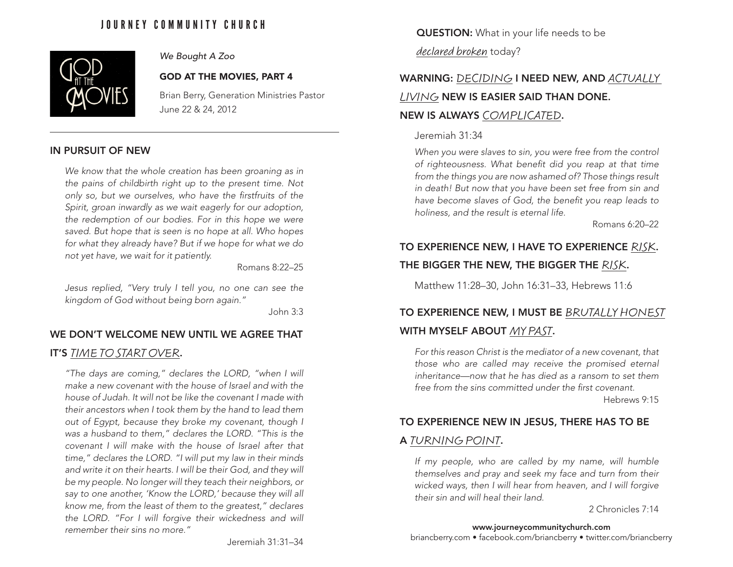## JOURNEY COMMUNITY CHURCH



### *We Bought A Zoo*

#### GOD AT THE MOVIES, PART 4

Brian Berry, Generation Ministries Pastor June 22 & 24, 2012

## IN PURSUIT OF NEW

*We know that the whole creation has been groaning as in the pains of childbirth right up to the present time. Not only so, but we ourselves, who have the firstfruits of the Spirit, groan inwardly as we wait eagerly for our adoption, the redemption of our bodies. For in this hope we were saved. But hope that is seen is no hope at all. Who hopes for what they already have? But if we hope for what we do not yet have, we wait for it patiently.*

Romans 8:22–25

*Jesus replied, "Very truly I tell you, no one can see the kingdom of God without being born again."* 

John 3:3

## WE DON'T WELCOME NEW UNTIL WE AGREE THAT

## IT'S TIME TO START OVER.

*"The days are coming," declares the LORD, "when I will make a new covenant with the house of Israel and with the house of Judah. It will not be like the covenant I made with their ancestors when I took them by the hand to lead them out of Egypt, because they broke my covenant, though I was a husband to them," declares the LORD. "This is the covenant I will make with the house of Israel after that time," declares the LORD. "I will put my law in their minds and write it on their hearts. I will be their God, and they will be my people. No longer will they teach their neighbors, or say to one another, 'Know the LORD,' because they will all know me, from the least of them to the greatest," declares the LORD. "For I will forgive their wickedness and will remember their sins no more."*

QUESTION: What in your life needs to be

declared broken today?

# WARNING: DECIDING I NEED NEW, AND ACTUALLY

## LIVING NEW IS EASIER SAID THAN DONE.

## NEW IS ALWAYS COMPLICATED.

#### Jeremiah 31:34

*When you were slaves to sin, you were free from the control of righteousness. What benefit did you reap at that time from the things you are now ashamed of? Those things result in death! But now that you have been set free from sin and have become slaves of God, the benefit you reap leads to holiness, and the result is eternal life.*

Romans 6:20–22

## TO EXPERIENCE NEW, I HAVE TO EXPERIENCE RISK. THE BIGGER THE NEW, THE BIGGER THE RISK.

Matthew 11:28–30, John 16:31–33, Hebrews 11:6

## TO EXPERIENCE NEW, I MUST BE BRUTALLY HONEST WITH MYSELF ABOUT MY PAST.

*For this reason Christ is the mediator of a new covenant, that those who are called may receive the promised eternal inheritance—now that he has died as a ransom to set them free from the sins committed under the first covenant.*

Hebrews 9:15

## TO EXPERIENCE NEW IN JESUS, THERE HAS TO BE

## A TURNING POINT.

*If my people, who are called by my name, will humble themselves and pray and seek my face and turn from their wicked ways, then I will hear from heaven, and I will forgive their sin and will heal their land.*

2 Chronicles 7:14